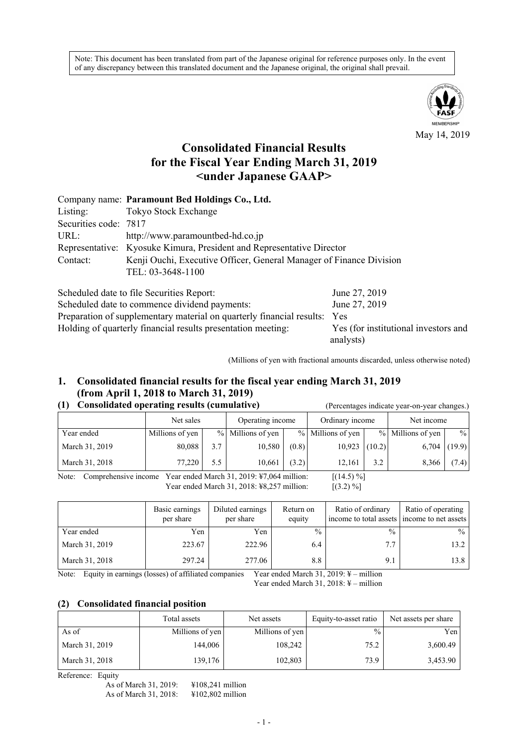Note: This document has been translated from part of the Japanese original for reference purposes only. In the event of any discrepancy between this translated document and the Japanese original, the original shall prevail.



May 14, 2019

# **Consolidated Financial Results for the Fiscal Year Ending March 31, 2019 <under Japanese GAAP>**

|                       | Company name: Paramount Bed Holdings Co., Ltd.                        |
|-----------------------|-----------------------------------------------------------------------|
| Listing:              | Tokyo Stock Exchange                                                  |
| Securities code: 7817 |                                                                       |
| URL:                  | http://www.paramountbed-hd.co.jp                                      |
|                       | Representative: Kyosuke Kimura, President and Representative Director |
| Contact:              | Kenji Ouchi, Executive Officer, General Manager of Finance Division   |
|                       | TEL: 03-3648-1100                                                     |
|                       |                                                                       |

| Scheduled date to file Securities Report:                                 | June 27, 2019                        |
|---------------------------------------------------------------------------|--------------------------------------|
| Scheduled date to commence dividend payments:                             | June 27, 2019                        |
| Preparation of supplementary material on quarterly financial results: Yes |                                      |
| Holding of quarterly financial results presentation meeting:              | Yes (for institutional investors and |
|                                                                           | analysts)                            |

(Millions of yen with fractional amounts discarded, unless otherwise noted)

# **1. Consolidated financial results for the fiscal year ending March 31, 2019 (from April 1, 2018 to March 31, 2019)**

# **(1) Consolidated operating results (cumulative)** (Percentages indicate year-on-year changes.)

|                | Net sales       |     | Operating income  |       | Ordinary income   |        | Net income        |               |
|----------------|-----------------|-----|-------------------|-------|-------------------|--------|-------------------|---------------|
| Year ended     | Millions of yen |     | % Millions of yen |       | % Millions of yen |        | % Millions of yen | $\frac{0}{0}$ |
| March 31, 2019 | 80,088          | 3.7 | 10,580            | (0.8) | 10,923            | (10.2) | $6,704$ (19.9)    |               |
| March 31, 2018 | 77,220          | 5.5 | 10,661            | (3.2) | 12,161            | 3.2    | 8,366             | (7.4)         |

Note: Comprehensive income Year ended March 31, 2019: ¥7,064 million: [(14.5) %] Year ended March 31, 2018: ¥8,257 million: [(3.2) %]

|                | Basic earnings<br>per share | Diluted earnings<br>per share | Return on<br>equity | Ratio of ordinary<br>income to total assets income to net assets | Ratio of operating |
|----------------|-----------------------------|-------------------------------|---------------------|------------------------------------------------------------------|--------------------|
| Year ended     | Yen                         | Yen                           | $\frac{0}{0}$       | $\frac{0}{0}$                                                    | $\frac{0}{0}$      |
| March 31, 2019 | 223.67                      | 222.96                        | 6.4                 | 7.7                                                              | 13.2               |
| March 31, 2018 | 297.24                      | 277.06                        | 8.8                 | 9.1                                                              | 13.8               |

Note: Equity in earnings (losses) of affiliated companies Year ended March 31, 2019: ¥ – million

Year ended March 31, 2018: ¥ – million

# **(2) Consolidated financial position**

|                | Total assets    | Net assets      | Equity-to-asset ratio | Net assets per share |
|----------------|-----------------|-----------------|-----------------------|----------------------|
| As of          | Millions of yen | Millions of yen | $\frac{9}{6}$         | Yen I                |
| March 31, 2019 | 144,006         | 108,242         | 75.2                  | 3,600.49             |
| March 31, 2018 | 139,176         | 102,803         | 73.9                  | 3,453.90             |

Reference: Equity

As of March 31, 2019: ¥108,241 million<br>As of March 31, 2018: ¥102,802 million As of March 31, 2018: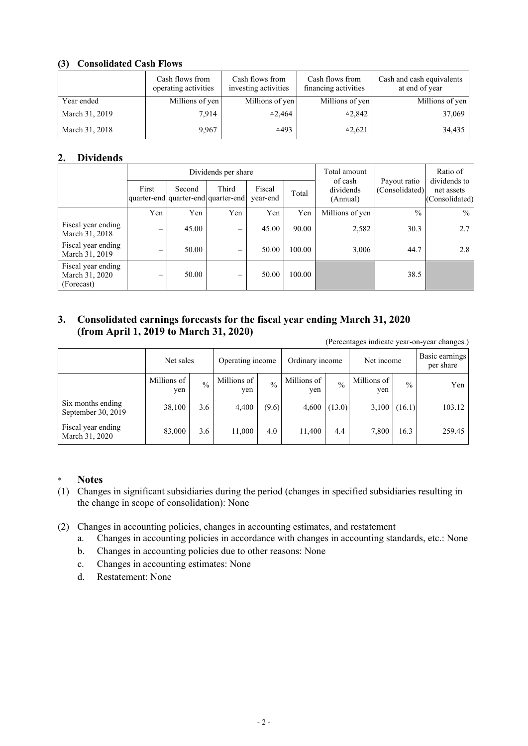# **(3) Consolidated Cash Flows**

|                | Cash flows from<br>operating activities | Cash flows from<br>investing activities | Cash flows from<br>financing activities | Cash and cash equivalents<br>at end of year |
|----------------|-----------------------------------------|-----------------------------------------|-----------------------------------------|---------------------------------------------|
| Year ended     | Millions of yen                         | Millions of yen                         | Millions of yen                         | Millions of yen                             |
| March 31, 2019 | 7.914                                   | $\triangle 2.464$                       | $^{\triangle}2.842$                     | 37,069                                      |
| March 31, 2018 | 9.967                                   | $\triangle 493$                         | $^{\triangle}2,621$                     | 34,435                                      |

# **2. Dividends**

|                                                    |                   |        | Dividends per share                          |                    | Total amount |                                  | Ratio of                       |                                              |
|----------------------------------------------------|-------------------|--------|----------------------------------------------|--------------------|--------------|----------------------------------|--------------------------------|----------------------------------------------|
|                                                    | First             | Second | Third<br>quarter-end quarter-end quarter-end | Fiscal<br>year-end | Total        | of cash<br>dividends<br>(Annual) | Payout ratio<br>(Consolidated) | dividends to<br>net assets<br>(Consolidated) |
|                                                    | Yen               | Yen    | Yen                                          | Yen                | Yen          | Millions of yen                  | $\frac{0}{0}$                  | $\frac{0}{0}$                                |
| Fiscal year ending<br>March 31, 2018               | $\qquad \qquad -$ | 45.00  | $\overline{\phantom{m}}$                     | 45.00              | 90.00        | 2,582                            | 30.3                           | 2.7                                          |
| Fiscal year ending<br>March 31, 2019               | $\qquad \qquad$   | 50.00  | $\overline{\phantom{0}}$                     | 50.00              | 100.00       | 3,006                            | 44.7                           | 2.8                                          |
| Fiscal year ending<br>March 31, 2020<br>(Forecast) | $\qquad \qquad$   | 50.00  | $\qquad \qquad -$                            | 50.00              | 100.00       |                                  | 38.5                           |                                              |

# **3. Consolidated earnings forecasts for the fiscal year ending March 31, 2020 (from April 1, 2019 to March 31, 2020)**

(Percentages indicate year-on-year changes.)

|                                         | Net sales          |               | Operating income   |               | Ordinary income    |               | Net income         |               | Basic earnings<br>per share |
|-----------------------------------------|--------------------|---------------|--------------------|---------------|--------------------|---------------|--------------------|---------------|-----------------------------|
|                                         | Millions of<br>yen | $\frac{0}{0}$ | Millions of<br>yen | $\frac{0}{0}$ | Millions of<br>yen | $\frac{0}{0}$ | Millions of<br>yen | $\frac{0}{0}$ | Yen                         |
| Six months ending<br>September 30, 2019 | 38,100             | 3.6           | 4,400              | (9.6)         | 4,600              | (13.0)        | 3,100              | (16.1)        | 103.12                      |
| Fiscal year ending<br>March 31, 2020    | 83,000             | 3.6           | 11.000             | 4.0           | 11.400             | 4.4           | 7,800              | 16.3          | 259.45                      |

### \* **Notes**

- (1) Changes in significant subsidiaries during the period (changes in specified subsidiaries resulting in the change in scope of consolidation): None
- (2) Changes in accounting policies, changes in accounting estimates, and restatement
	- a. Changes in accounting policies in accordance with changes in accounting standards, etc.: None
	- b. Changes in accounting policies due to other reasons: None
	- c. Changes in accounting estimates: None
	- d. Restatement: None